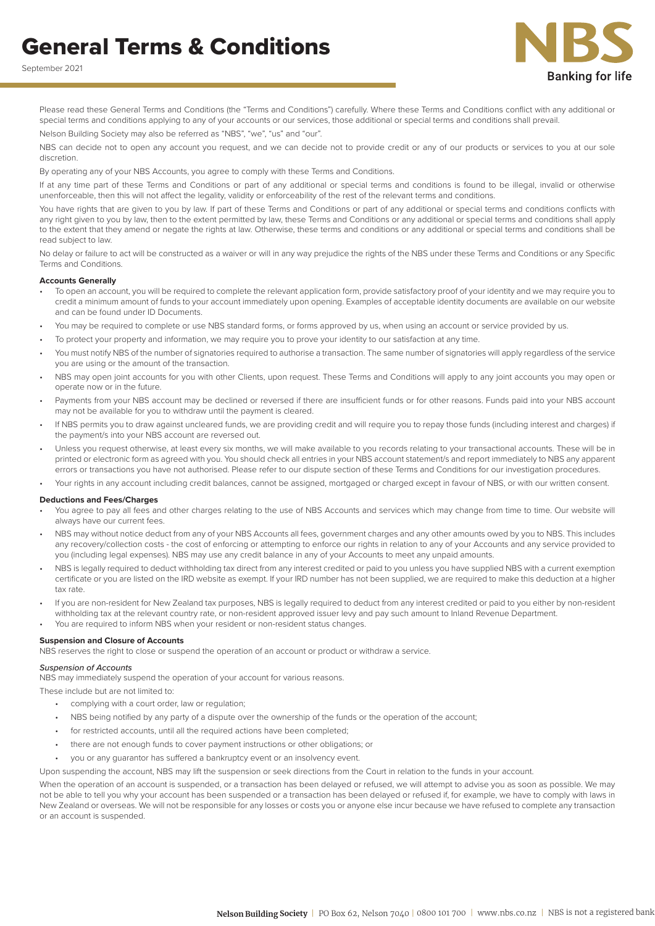



Please read these General Terms and Conditions (the "Terms and Conditions") carefully. Where these Terms and Conditions conflict with any additional or special terms and conditions applying to any of your accounts or our services, those additional or special terms and conditions shall prevail. Nelson Building Society may also be referred as "NBS", "we", "us" and "our".

NBS can decide not to open any account you request, and we can decide not to provide credit or any of our products or services to you at our sole discretion.

By operating any of your NBS Accounts, you agree to comply with these Terms and Conditions.

If at any time part of these Terms and Conditions or part of any additional or special terms and conditions is found to be illegal, invalid or otherwise unenforceable, then this will not affect the legality, validity or enforceability of the rest of the relevant terms and conditions.

You have rights that are given to you by law. If part of these Terms and Conditions or part of any additional or special terms and conditions conflicts with any right given to you by law, then to the extent permitted by law, these Terms and Conditions or any additional or special terms and conditions shall apply to the extent that they amend or negate the rights at law. Otherwise, these terms and conditions or any additional or special terms and conditions shall be read subject to law.

No delay or failure to act will be constructed as a waiver or will in any way prejudice the rights of the NBS under these Terms and Conditions or any Specific Terms and Conditions.

#### **Accounts Generally**

- To open an account, you will be required to complete the relevant application form, provide satisfactory proof of your identity and we may require you to credit a minimum amount of funds to your account immediately upon opening. Examples of acceptable identity documents are available on our website and can be found under ID Documents.
- You may be required to complete or use NBS standard forms, or forms approved by us, when using an account or service provided by us.
- To protect your property and information, we may require you to prove your identity to our satisfaction at any time.
- You must notify NBS of the number of signatories required to authorise a transaction. The same number of signatories will apply regardless of the service you are using or the amount of the transaction.
- NBS may open joint accounts for you with other Clients, upon request. These Terms and Conditions will apply to any joint accounts you may open or operate now or in the future.
- Payments from your NBS account may be declined or reversed if there are insufficient funds or for other reasons. Funds paid into your NBS account may not be available for you to withdraw until the payment is cleared.
- If NBS permits you to draw against uncleared funds, we are providing credit and will require you to repay those funds (including interest and charges) if the payment/s into your NBS account are reversed out.
- Unless you request otherwise, at least every six months, we will make available to you records relating to your transactional accounts. These will be in printed or electronic form as agreed with you. You should check all entries in your NBS account statement/s and report immediately to NBS any apparent errors or transactions you have not authorised. Please refer to our dispute section of these Terms and Conditions for our investigation procedures.

• Your rights in any account including credit balances, cannot be assigned, mortgaged or charged except in favour of NBS, or with our written consent.

## **Deductions and Fees/Charges**

- You agree to pay all fees and other charges relating to the use of NBS Accounts and services which may change from time to time. Our website will always have our current fees.
- NBS may without notice deduct from any of your NBS Accounts all fees, government charges and any other amounts owed by you to NBS. This includes any recovery/collection costs - the cost of enforcing or attempting to enforce our rights in relation to any of your Accounts and any service provided to you (including legal expenses). NBS may use any credit balance in any of your Accounts to meet any unpaid amounts.
- NBS is legally required to deduct withholding tax direct from any interest credited or paid to you unless you have supplied NBS with a current exemption certificate or you are listed on the IRD website as exempt. If your IRD number has not been supplied, we are required to make this deduction at a higher tax rate.
- If you are non-resident for New Zealand tax purposes, NBS is legally required to deduct from any interest credited or paid to you either by non-resident withholding tax at the relevant country rate, or non-resident approved issuer levy and pay such amount to Inland Revenue Department.
- You are required to inform NBS when your resident or non-resident status changes.

#### **Suspension and Closure of Accounts**

NBS reserves the right to close or suspend the operation of an account or product or withdraw a service.

## *Suspension of Accounts*

NBS may immediately suspend the operation of your account for various reasons.

These include but are not limited to:

- complying with a court order, law or regulation;
- NBS being notified by any party of a dispute over the ownership of the funds or the operation of the account;
- for restricted accounts, until all the required actions have been completed;
- there are not enough funds to cover payment instructions or other obligations; or
- you or any guarantor has suffered a bankruptcy event or an insolvency event.

Upon suspending the account, NBS may lift the suspension or seek directions from the Court in relation to the funds in your account.

When the operation of an account is suspended, or a transaction has been delayed or refused, we will attempt to advise you as soon as possible. We may not be able to tell you why your account has been suspended or a transaction has been delayed or refused if, for example, we have to comply with laws in New Zealand or overseas. We will not be responsible for any losses or costs you or anyone else incur because we have refused to complete any transaction or an account is suspended.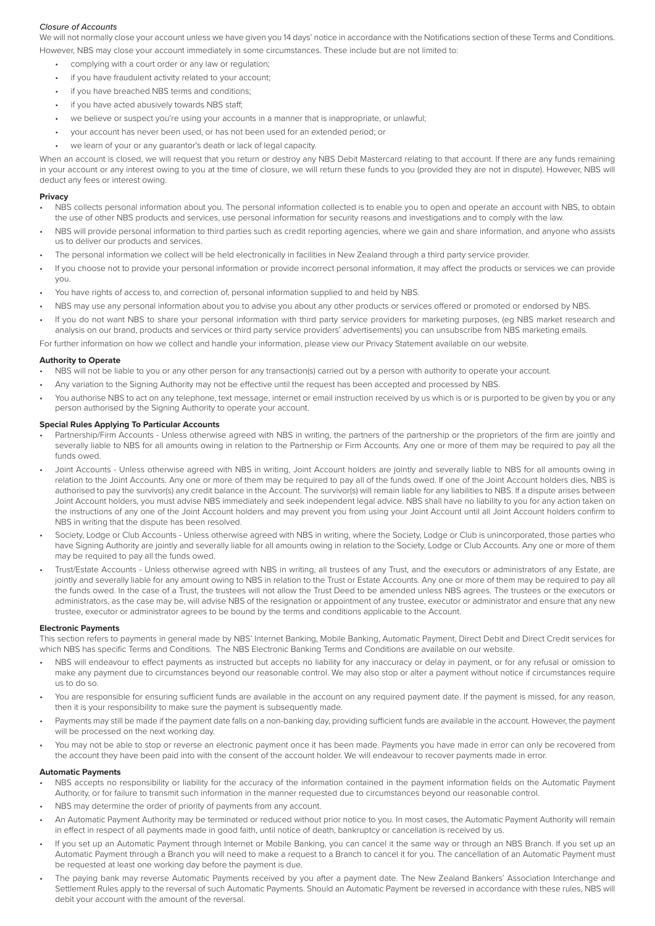## *Closure of Accounts*

We will not normally close your account unless we have given you 14 days' notice in accordance with the Notifications section of these Terms and Conditions. However, NBS may close your account immediately in some circumstances. These include but are not limited to:

- complying with a court order or any law or regulation;
- if you have fraudulent activity related to your account;
- if you have breached NBS terms and conditions;
- if you have acted abusively towards NBS staff;
- we believe or suspect you're using your accounts in a manner that is inappropriate, or unlawful;
- your account has never been used, or has not been used for an extended period; or
- we learn of your or any guarantor's death or lack of legal capacity.

When an account is closed, we will request that you return or destroy any NBS Debit Mastercard relating to that account. If there are any funds remaining in your account or any interest owing to you at the time of closure, we will return these funds to you (provided they are not in dispute). However, NBS will deduct any fees or interest owing.

## **Privacy**

- NBS collects personal information about you. The personal information collected is to enable you to open and operate an account with NBS, to obtain the use of other NBS products and services, use personal information for security reasons and investigations and to comply with the law.
- NBS will provide personal information to third parties such as credit reporting agencies, where we gain and share information, and anyone who assists us to deliver our products and services.
- The personal information we collect will be held electronically in facilities in New Zealand through a third party service provider.
- If you choose not to provide your personal information or provide incorrect personal information, it may affect the products or services we can provide you.
- You have rights of access to, and correction of, personal information supplied to and held by NBS.
- NBS may use any personal information about you to advise you about any other products or services offered or promoted or endorsed by NBS.
- If you do not want NBS to share your personal information with third party service providers for marketing purposes, (eg NBS market research and analysis on our brand, products and services or third party service providers' advertisements) you can unsubscribe from NBS marketing emails.

For further information on how we collect and handle your information, please view our Privacy Statement available on our website.

## **Authority to Operate**

- NBS will not be liable to you or any other person for any transaction(s) carried out by a person with authority to operate your account.
- Any variation to the Signing Authority may not be effective until the request has been accepted and processed by NBS.
- You authorise NBS to act on any telephone, text message, internet or email instruction received by us which is or is purported to be given by you or any person authorised by the Signing Authority to operate your account.

## **Special Rules Applying To Particular Accounts**

- Partnership/Firm Accounts Unless otherwise agreed with NBS in writing, the partners of the partnership or the proprietors of the firm are jointly and severally liable to NBS for all amounts owing in relation to the Partnership or Firm Accounts. Any one or more of them may be required to pay all the funds owed.
- Joint Accounts Unless otherwise agreed with NBS in writing, Joint Account holders are jointly and severally liable to NBS for all amounts owing in relation to the Joint Accounts. Any one or more of them may be required to pay all of the funds owed. If one of the Joint Account holders dies, NBS is authorised to pay the survivor(s) any credit balance in the Account. The survivor(s) will remain liable for any liabilities to NBS. If a dispute arises between Joint Account holders, you must advise NBS immediately and seek independent legal advice. NBS shall have no liability to you for any action taken on the instructions of any one of the Joint Account holders and may prevent you from using your Joint Account until all Joint Account holders confirm to NBS in writing that the dispute has been resolved.
- Society, Lodge or Club Accounts Unless otherwise agreed with NBS in writing, where the Society, Lodge or Club is unincorporated, those parties who have Signing Authority are jointly and severally liable for all amounts owing in relation to the Society, Lodge or Club Accounts. Any one or more of them may be required to pay all the funds owed.
- Trust/Estate Accounts Unless otherwise agreed with NBS in writing, all trustees of any Trust, and the executors or administrators of any Estate, are jointly and severally liable for any amount owing to NBS in relation to the Trust or Estate Accounts. Any one or more of them may be required to pay all the funds owed. In the case of a Trust, the trustees will not allow the Trust Deed to be amended unless NBS agrees. The trustees or the executors or administrators, as the case may be, will advise NBS of the resignation or appointment of any trustee, executor or administrator and ensure that any new trustee, executor or administrator agrees to be bound by the terms and conditions applicable to the Account.

#### **Electronic Payments**

This section refers to payments in general made by NBS' Internet Banking, Mobile Banking, Automatic Payment, Direct Debit and Direct Credit services for which NBS has specific Terms and Conditions. The NBS Electronic Banking Terms and Conditions are available on our website.

- NBS will endeavour to effect payments as instructed but accepts no liability for any inaccuracy or delay in payment, or for any refusal or omission to make any payment due to circumstances beyond our reasonable control. We may also stop or alter a payment without notice if circumstances require us to do so.
- You are responsible for ensuring sufficient funds are available in the account on any required payment date. If the payment is missed, for any reason, then it is your responsibility to make sure the payment is subsequently made.
- Payments may still be made if the payment date falls on a non-banking day, providing sufficient funds are available in the account. However, the payment will be processed on the next working day.
- You may not be able to stop or reverse an electronic payment once it has been made. Payments you have made in error can only be recovered from the account they have been paid into with the consent of the account holder. We will endeavour to recover payments made in error.

#### **Automatic Payments**

- NBS accepts no responsibility or liability for the accuracy of the information contained in the payment information fields on the Automatic Payment Authority, or for failure to transmit such information in the manner requested due to circumstances beyond our reasonable control.
- NBS may determine the order of priority of payments from any account.
- An Automatic Payment Authority may be terminated or reduced without prior notice to you. In most cases, the Automatic Payment Authority will remain in effect in respect of all payments made in good faith, until notice of death, bankruptcy or cancellation is received by us.
- If you set up an Automatic Payment through Internet or Mobile Banking, you can cancel it the same way or through an NBS Branch. If you set up an Automatic Payment through a Branch you will need to make a request to a Branch to cancel it for you. The cancellation of an Automatic Payment must be requested at least one working day before the payment is due.
- The paying bank may reverse Automatic Payments received by you after a payment date. The New Zealand Bankers' Association Interchange and Settlement Rules apply to the reversal of such Automatic Payments. Should an Automatic Payment be reversed in accordance with these rules, NBS will debit your account with the amount of the reversal.